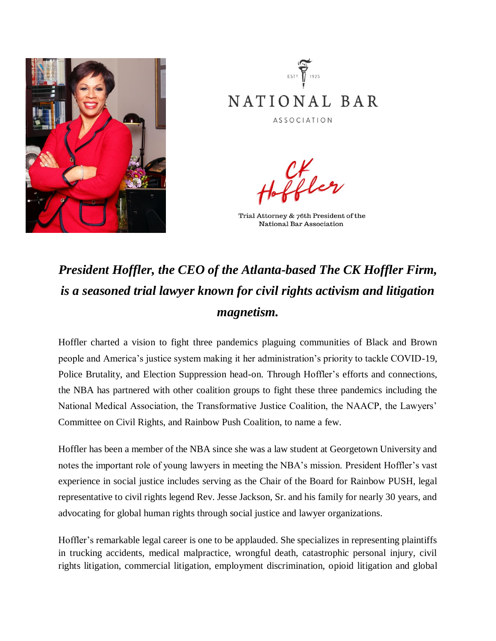



CK<br>I I dæn

Trial Attorney & 76th President of the National Bar Association

## *President Hoffler, the CEO of the Atlanta-based The CK Hoffler Firm, is a seasoned trial lawyer known for civil rights activism and litigation magnetism.*

Hoffler charted a vision to fight three pandemics plaguing communities of Black and Brown people and America's justice system making it her administration's priority to tackle COVID-19, Police Brutality, and Election Suppression head-on. Through Hoffler's efforts and connections, the NBA has partnered with other coalition groups to fight these three pandemics including the National Medical Association, the Transformative Justice Coalition, the NAACP, the Lawyers' Committee on Civil Rights, and Rainbow Push Coalition, to name a few.

Hoffler has been a member of the NBA since she was a law student at Georgetown University and notes the important role of young lawyers in meeting the NBA's mission. President Hoffler's vast experience in social justice includes serving as the Chair of the Board for Rainbow PUSH, legal representative to civil rights legend Rev. Jesse Jackson, Sr. and his family for nearly 30 years, and advocating for global human rights through social justice and lawyer organizations.

Hoffler's remarkable legal career is one to be applauded. She specializes in representing plaintiffs in trucking accidents, medical malpractice, wrongful death, catastrophic personal injury, civil rights litigation, commercial litigation, employment discrimination, opioid litigation and global